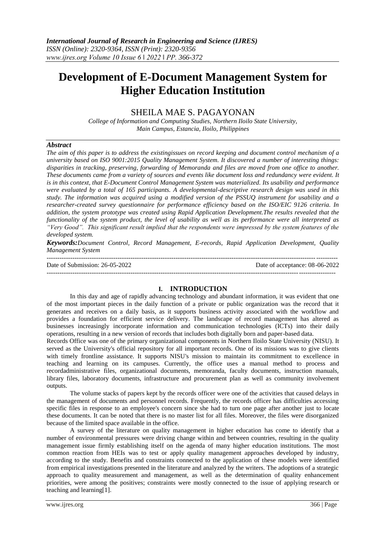# **Development of E-Document Management System for Higher Education Institution**

# SHEILA MAE S. PAGAYONAN

*College of Information and Computing Studies, Northern Iloilo State University, Main Campus, Estancia, Iloilo, Philippines*

#### *Abstract*

*The aim of this paper is to address the existingissues on record keeping and document control mechanism of a university based on ISO 9001:2015 Quality Management System. It discovered a number of interesting things: disparities in tracking, preserving, forwarding of Memoranda and files are moved from one office to another. These documents came from a variety of sources and events like document loss and redundancy were evident. It is in this context, that E-Document Control Management System was materialized. Its usability and performance were evaluated by a total of 165 participants. A developmental-descriptive research design was used in this study. The information was acquired using a modified version of the PSSUQ instrument for usability and a researcher-created survey questionnaire for performance efficiency based on the ISO/EIC 9126 criteria. In addition, the system prototype was created using Rapid Application Development.The results revealed that the functionality of the system product, the level of usability as well as its performance were all interpreted as "Very Good". This significant result implied that the respondents were impressed by the system features of the developed system.*

*Keywords:Document Control, Record Management, E-records, Rapid Application Development, Quality Management System* ---------------------------------------------------------------------------------------------------------------------------------------

Date of Submission: 26-05-2022 Date of acceptance: 08-06-2022

--------------------------------------------------------------------------------------------------------------------------------------

#### **I. INTRODUCTION**

In this day and age of rapidly advancing technology and abundant information, it was evident that one of the most important pieces in the daily function of a private or public organization was the record that it generates and receives on a daily basis, as it supports business activity associated with the workflow and provides a foundation for efficient service delivery. The landscape of record management has altered as businesses increasingly incorporate information and communication technologies (ICTs) into their daily operations, resulting in a new version of records that includes both digitally born and paper-based data.

Records Office was one of the primary organizational components in Northern Iloilo State University (NISU). It served as the University's official repository for all important records. One of its missions was to give clients with timely frontline assistance. It supports NISU's mission to maintain its commitment to excellence in teaching and learning on its campuses. Currently, the office uses a manual method to process and recordadministrative files, organizational documents, memoranda, faculty documents, instruction manuals, library files, laboratory documents, infrastructure and procurement plan as well as community involvement outputs.

The volume stacks of papers kept by the records officer were one of the activities that caused delays in the management of documents and personnel records. Frequently, the records officer has difficulties accessing specific files in response to an employee's concern since she had to turn one page after another just to locate these documents. It can be noted that there is no master list for all files. Moreover, the files were disorganized because of the limited space available in the office.

A survey of the literature on quality management in higher education has come to identify that a number of environmental pressures were driving change within and between countries, resulting in the quality management issue firmly establishing itself on the agenda of many higher education institutions. The most common reaction from HEIs was to test or apply quality management approaches developed by industry, according to the study. Benefits and constraints connected to the application of these models were identified from empirical investigations presented in the literature and analyzed by the writers. The adoptions of a strategic approach to quality measurement and management, as well as the determination of quality enhancement priorities, were among the positives; constraints were mostly connected to the issue of applying research or teaching and learning[1].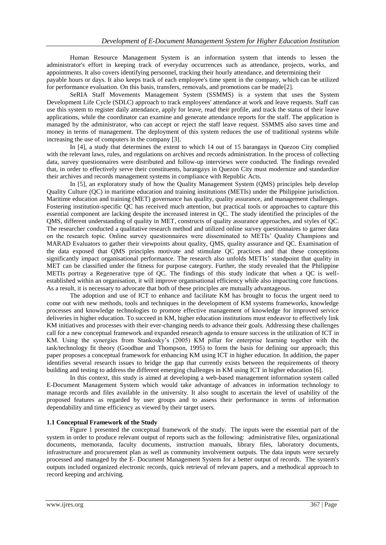Human Resource Management System is an information system that intends to lessen the administrator's effort in keeping track of everyday occurrences such as attendance, projects, works, and appointments. It also covers identifying personnel, tracking their hourly attendance, and determining their

payable hours or days. It also keeps track of each employee's time spent in the company, which can be utilized for performance evaluation. On this basis, transfers, removals, and promotions can be made $[2]$ .

SeRIA Staff Movements Management System (SSMMS) is a system that uses the System Development Life Cycle (SDLC) approach to track employees' attendance at work and leave requests. Staff can use this system to register daily attendance, apply for leave, read their profile, and track the status of their leave applications, while the coordinator can examine and generate attendance reports for the staff. The application is managed by the administrator, who can accept or reject the staff leave request. SSMMS also saves time and money in terms of management. The deployment of this system reduces the use of traditional systems while increasing the use of computers in the company [3].

In [4], a study that determines the extent to which 14 out of 15 barangays in Quezon City complied with the relevant laws, rules, and regulations on archives and records administration. In the process of collecting data, survey questionnaires were distributed and follow-up interviews were conducted. The findings revealed that, in order to effectively serve their constituents, barangays in Quezon City must modernize and standardize their archives and records management systems in compliance with Republic Acts.

In [5], an exploratory study of how the Quality Management System (QMS) principles help develop Quality Culture (QC) in maritime education and training institutions (METIs) under the Philippine jurisdiction. Maritime education and training (MET) governance has quality, quality assurance, and management challenges. Fostering institution-specific QC has received much attention, but practical tools or approaches to capture this essential component are lacking despite the increased interest in QC. The study identified the principles of the QMS, different understanding of quality in MET, constructs of quality assurance approaches, and styles of QC. The researcher conducted a qualitative research method and utilized online survey questionnaires to garner data on the research topic. Online survey questionnaires were disseminated to METIs' Quality Champions and MARAD Evaluators to gather their viewpoints about quality, QMS, quality assurance and QC. Examination of the data exposed that QMS principles motivate and stimulate QC practices and that these conceptions significantly impact organisational performance. The research also unfolds METIs' standpoint that quality in MET can be classified under the fitness for purpose category. Further, the study revealed that the Philippine METIs portray a Regenerative type of QC. The findings of this study indicate that when a QC is wellestablished within an organisation, it will improve organisational efficiency while also impacting core functions. As a result, it is necessary to advocate that both of these principles are mutually advantageous.

The adoption and use of ICT to enhance and facilitate KM has brought to focus the urgent need to come out with new methods, tools and techniques in the development of KM systems frameworks, knowledge processes and knowledge technologies to promote effective management of knowledge for improved service deliveries in higher education. To succeed in KM, higher education institutions must endeavor to effectively link KM initiatives and processes with their ever-changing needs to advance their goals. Addressing these challenges call for a new conceptual framework and expanded research agenda to ensure success in the utilization of ICT in KM. Using the synergies from Stankosky's (2005) KM pillar for enterprise learning together with the task/technology fit theory (Goodhue and Thompson, 1995) to form the basis for defining our approach; this paper proposes a conceptual framework for enhancing KM using ICT in higher education. In addition, the paper identifies several research issues to bridge the gap that currently exists between the requirements of theory building and testing to address the different emerging challenges in KM using ICT in higher education [6].

In this context, this study is aimed at developing a web-based management information system called E-Document Management System which would take advantage of advances in information technology to manage records and files available in the university. It also sought to ascertain the level of usability of the proposed features as regarded by user groups and to assess their performance in terms of information dependability and time efficiency as viewed by their target users.

#### **1.1 Conceptual Framework of the Study**

Figure 1 presented the conceptual framework of the study. The inputs were the essential part of the system in order to produce relevant output of reports such as the following: administrative files, organizational documents, memoranda, faculty documents, instruction manuals, library files, laboratory documents, infrastructure and procurement plan as well as community involvement outputs. The data inputs were securely processed and managed by the E- Document Management System for a better output of records. The system's outputs included organized electronic records, quick retrieval of relevant papers, and a methodical approach to record keeping and archiving.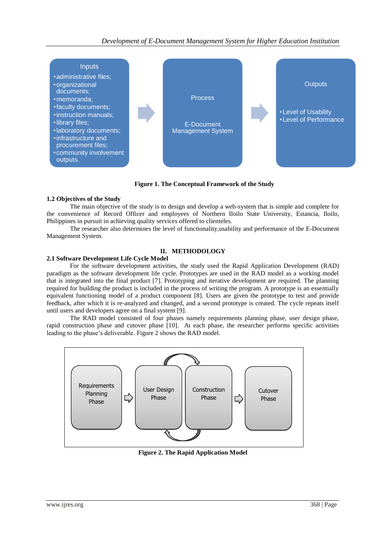

**Figure 1. The Conceptual Framework of the Study**

# **1.2 Objectives of the Study**

The main objective of the study is to design and develop a web-system that is simple and complete for the convenience of Record Officer and employees of Northern Iloilo State University, Estancia, Iloilo, Philippines in pursuit in achieving quality services offered to clienteles.

The researcher also determines the level of functionality,usability and performance of the E-Document Management System.

# **II. METHODOLOGY**

# **2.1 Software Development Life Cycle Model**

For the software development activities, the study used the Rapid Application Development (RAD) paradigm as the software development life cycle. Prototypes are used in the RAD model as a working model that is integrated into the final product [7]. Prototyping and iterative development are required. The planning required for building the product is included in the process of writing the program. A prototype is an essentially equivalent functioning model of a product component [8]. Users are given the prototype to test and provide feedback, after which it is re-analyzed and changed, and a second prototype is created. The cycle repeats itself until users and developers agree on a final system [9].

The RAD model consisted of four phases namely requirements planning phase, user design phase, rapid construction phase and cutover phase [10]. At each phase, the researcher performs specific activities leading to the phase's deliverable. Figure 2 shows the RAD model.



**Figure 2. The Rapid Application Model**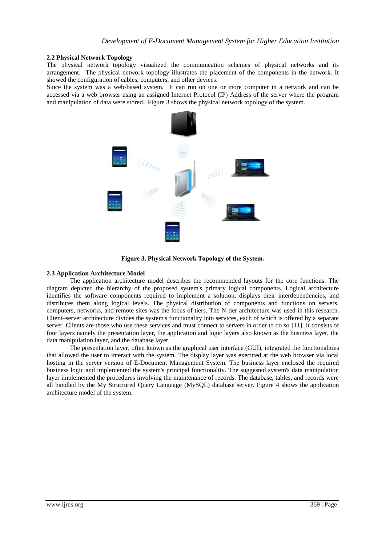#### **2.2 Physical Network Topology**

The physical network topology visualized the communication schemes of physical networks and its arrangement. The physical network topology illustrates the placement of the components in the network. It showed the configuration of cables, computers, and other devices.

Since the system was a web-based system. It can run on one or more computer in a network and can be accessed via a web browser using an assigned Internet Protocol (IP) Address of the server where the program and manipulation of data were stored. Figure 3 shows the physical network topology of the system.



**Figure 3. Physical Network Topology of the System.**

#### **2.3 Application Architecture Model**

The application architecture model describes the recommended layouts for the core functions. The diagram depicted the hierarchy of the proposed system's primary logical components. Logical architecture identifies the software components required to implement a solution, displays their interdependencies, and distributes them along logical levels. The physical distribution of components and functions on servers, computers, networks, and remote sites was the focus of tiers. The N-tier architecture was used in this research. Client–server architecture divides the system's functionality into services, each of which is offered by a separate server. Clients are those who use these services and must connect to servers in order to do so [11]. It consists of four layers namely the presentation layer, the application and logic layers also known as the business layer, the data manipulation layer, and the database layer.

The presentation layer, often known as the graphical user interface (GUI), integrated the functionalities that allowed the user to interact with the system. The display layer was executed at the web browser via local hosting in the server version of E-Document Management System. The business layer enclosed the required business logic and implemented the system's principal functionality. The suggested system's data manipulation layer implemented the procedures involving the maintenance of records. The database, tables, and records were all handled by the My Structured Query Language (MySQL) database server. Figure 4 shows the application architecture model of the system.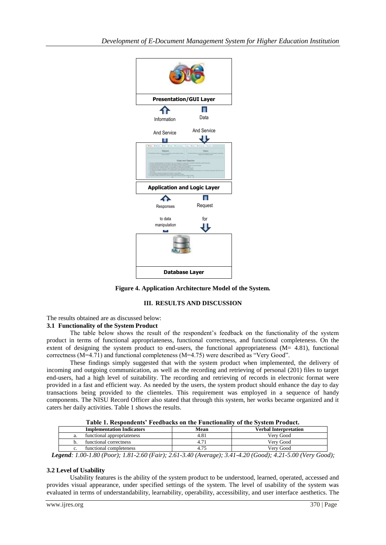

**Figure 4. Application Architecture Model of the System.**

# **III. RESULTS AND DISCUSSION**

#### The results obtained are as discussed below:

### **3.1 Functionality of the System Product**

The table below shows the result of the respondent's feedback on the functionality of the system product in terms of functional appropriateness, functional correctness, and functional completeness. On the extent of designing the system product to end-users, the functional appropriateness  $(M= 4.81)$ , functional correctness (M=4.71) and functional completeness (M=4.75) were described as "Very Good".

These findings simply suggested that with the system product when implemented, the delivery of incoming and outgoing communication, as well as the recording and retrieving of personal (201) files to target end-users, had a high level of suitability. The recording and retrieving of records in electronic format were provided in a fast and efficient way. As needed by the users, the system product should enhance the day to day transactions being provided to the clienteles. This requirement was employed in a sequence of handy components. The NISU Record Officer also stated that through this system, her works became organized and it caters her daily activities. Table 1 shows the results.

| A WALLY AT ALWARD VALWEILED. A WWW.WINDERD. WAL VALW.A WALVELWALLY.                                                                                                                                                                                                                                            |      |                                                                                                                                                                                                  |
|----------------------------------------------------------------------------------------------------------------------------------------------------------------------------------------------------------------------------------------------------------------------------------------------------------------|------|--------------------------------------------------------------------------------------------------------------------------------------------------------------------------------------------------|
| <b>Implementation Indicators</b>                                                                                                                                                                                                                                                                               | Mean | Verbal Interpretation                                                                                                                                                                            |
| functional appropriateness                                                                                                                                                                                                                                                                                     | 4.81 | Verv Good                                                                                                                                                                                        |
| functional correctness                                                                                                                                                                                                                                                                                         |      | Verv Good                                                                                                                                                                                        |
| functional completeness                                                                                                                                                                                                                                                                                        | 4.75 | Verv Good                                                                                                                                                                                        |
| $\mathbf{1}$ and $\mathbf{2}$ and $\mathbf{3}$ and $\mathbf{4}$ and $\mathbf{5}$ and $\mathbf{6}$ and $\mathbf{5}$ and $\mathbf{6}$ and $\mathbf{6}$ and $\mathbf{7}$ and $\mathbf{8}$ and $\mathbf{7}$ and $\mathbf{8}$ and $\mathbf{8}$ and $\mathbf{8}$ and $\mathbf{8}$ and $\mathbf{8}$ and<br>1.10010000 |      | $\mathbf{1}$ $\mathbf{1}$ $\mathbf{2}$ $\mathbf{3}$ $\mathbf{4}$ $\mathbf{5}$ $\mathbf{6}$ $\mathbf{0}$ $\mathbf{1}$ $\mathbf{3}$ $\mathbf{5}$<br>$\mathbf{r}$<br>$\sim$ $\sim$ $\sim$<br>$\sim$ |

**Table 1. Respondents' Feedbacks on the Functionality of the System Product.**

 *Legend: 1.00-1.80 (Poor); 1.81-2.60 (Fair); 2.61-3.40 (Average); 3.41-4.20 (Good); 4.21-5.00 (Very Good);*

# **3.2 Level of Usability**

Usability features is the ability of the system product to be understood, learned, operated, accessed and provides visual appearance, under specified settings of the system. The level of usability of the system was evaluated in terms of understandability, learnability, operability, accessibility, and user interface aesthetics. The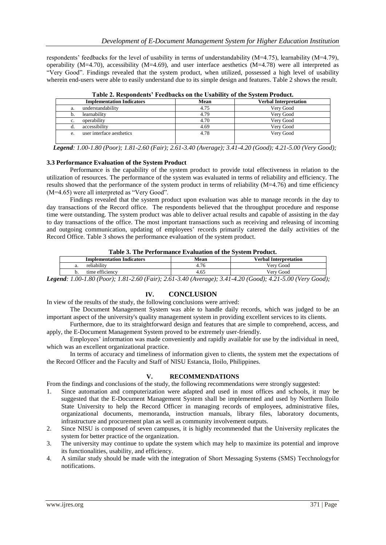respondents' feedbacks for the level of usability in terms of understandability (M=4.75), learnability (M=4.79), operability (M=4.70), accessibility (M=4.69), and user interface aesthetics (M=4.78) were all interpreted as "Very Good". Findings revealed that the system product, when utilized, possessed a high level of usability wherein end-users were able to easily understand due to its simple design and features. Table 2 shows the result.

| <b>Implementation Indicators</b> | Mean | <b>Verbal Interpretation</b> |
|----------------------------------|------|------------------------------|
| understandability<br>a.          | 4.75 | Verv Good                    |
| learnability                     | 4.79 | Verv Good                    |
| operability<br>c.                | 4.70 | Verv Good                    |
| accessibility<br>α.              | 4.69 | Very Good                    |
| user interface aesthetics<br>e.  | 4.78 | Very Good                    |
|                                  |      |                              |

**Table 2. Respondents' Feedbacks on the Usability of the System Product.**

 *Legend: 1.00-1.80 (Poor); 1.81-2.60 (Fair); 2.61-3.40 (Average); 3.41-4.20 (Good); 4.21-5.00 (Very Good);*

#### **3.3 Performance Evaluation of the System Product**

Performance is the capability of the system product to provide total effectiveness in relation to the utilization of resources. The performance of the system was evaluated in terms of reliability and efficiency. The results showed that the performance of the system product in terms of reliability (M=4.76) and time efficiency (M=4.65) were all interpreted as "Very Good".

Findings revealed that the system product upon evaluation was able to manage records in the day to day transactions of the Record office. The respondents believed that the throughput procedure and response time were outstanding. The system product was able to deliver actual results and capable of assisting in the day to day transactions of the office. The most important transactions such as receiving and releasing of incoming and outgoing communication, updating of employees' records primarily catered the daily activities of the Record Office. Table 3 shows the performance evaluation of the system product.

| <b>Implementation Indicators</b> | Mean           | <b>Verbal Interpretation</b> |
|----------------------------------|----------------|------------------------------|
| reliability<br>а.                | $\sim$<br>4.76 | Verv Good                    |
| time efficiency<br>υ.            | 4.65           | Verv Good                    |

*Legend: 1.00-1.80 (Poor); 1.81-2.60 (Fair); 2.61-3.40 (Average); 3.41-4.20 (Good); 4.21-5.00 (Very Good);*

# **IV. CONCLUSION**

In view of the results of the study, the following conclusions were arrived:

The Document Management System was able to handle daily records, which was judged to be an important aspect of the university's quality management system in providing excellent services to its clients.

Furthermore, due to its straightforward design and features that are simple to comprehend, access, and apply, the E-Document Management System proved to be extremely user-friendly.

Employees' information was made conveniently and rapidly available for use by the individual in need, which was an excellent organizational practice.

In terms of accuracy and timeliness of information given to clients, the system met the expectations of the Record Officer and the Faculty and Staff of NISU Estancia, Iloilo, Philippines.

#### **V. RECOMMENDATIONS**

From the findings and conclusions of the study, the following recommendations were strongly suggested:

- 1. Since automation and computerization were adapted and used in most offices and schools, it may be suggested that the E-Document Management System shall be implemented and used by Northern Iloilo State University to help the Record Officer in managing records of employees, administrative files, organizational documents, memoranda, instruction manuals, library files, laboratory documents, infrastructure and procurement plan as well as community involvement outputs.
- 2. Since NISU is composed of seven campuses, it is highly recommended that the University replicates the system for better practice of the organization.
- 3. The university may continue to update the system which may help to maximize its potential and improve its functionalities, usability, and efficiency.
- 4. A similar study should be made with the integration of Short Messaging Systems (SMS) Tecchnologyfor notifications.